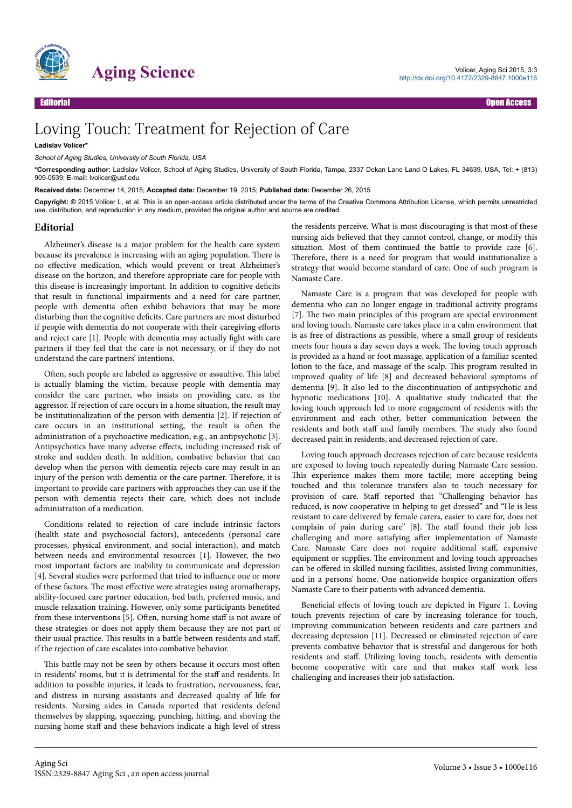

## Loving Touch: Treatment for Rejection of Care

**Ladislav Volicer\***

*School of Aging Studies, University of South Florida, USA*

**\*Corresponding author:** Ladislav Volicer, School of Aging Studies, University of South Florida, Tampa, 2337 Dekan Lane Land O Lakes, FL 34639, USA, Tel: + (813) 909-0539; E-mail: lvolicer@usf.edu

**Received date:** December 14, 2015; **Accepted date:** December 19, 2015; **Published date:** December 26, 2015

**Copyright: ©** 2015 Volicer L, et al. This is an open-access article distributed under the terms of the Creative Commons Attribution License, which permits unrestricted use, distribution, and reproduction in any medium, provided the original author and source are credited.

## **Editorial**

Alzheimer's disease is a major problem for the health care system because its prevalence is increasing with an aging population. Нere is no effective medication, which would prevent or treat Alzheimer's disease on the horizon, and therefore appropriate care for people with this disease is increasingly important. In addition to cognitive deficits that result in functional impairments and a need for care partner, people with dementia often exhibit behaviors that may be more disturbing than the cognitive deficits. Care partners are most disturbed if people with dementia do not cooperate with their caregiving efforts and reject care [1]. People with dementia may actually fight with care partners if they feel that the care is not necessary, or if they do not understand the care partners' intentions.

Often, such people are labeled as aggressive or assaultive. This label is actually blaming the victim, because people with dementia may consider the care partner, who insists on providing care, as the aggressor. If rejection of care occurs in a home situation, the result may be institutionalization of the person with dementia [2]. If rejection of care occurs in an institutional setting, the result is often the administration of a psychoactive medication, e.g., an antipsychotic [3]. Antipsychotics have many adverse effects, including increased risk of stroke and sudden death. In addition, combative behavior that can develop when the person with dementia rejects care may result in an injury of the person with dementia or the care partner. Нerefore, it is important to provide care partners with approaches they can use if the person with dementia rejects their care, which does not include administration of a medication.

Conditions related to rejection of care include intrinsic factors (health state and psychosocial factors), antecedents (personal care processes, physical environment, and social interaction), and match between needs and environmental resources [1]. However, the two most important factors are inability to communicate and depression [4]. Several studies were performed that tried to influence one or more of these factors. The most effective were strategies using aromatherapy, ability-focused care partner education, bed bath, preferred music, and muscle relaxation training. However, only some participants benefited from these interventions [5]. Often, nursing home staff is not aware of these strategies or does not apply them because they are not part of their usual practice. This results in a battle between residents and staff, if the rejection of care escalates into combative behavior.

This battle may not be seen by others because it occurs most often in residents' rooms, but it is detrimental for the staff and residents. In addition to possible injuries, it leads to frustration, nervousness, fear, and distress in nursing assistants and decreased quality of life for residents. Nursing aides in Canada reported that residents defend themselves by slapping, squeezing, punching, hitting, and shoving the nursing home staff and these behaviors indicate a high level of stress the residents perceive. What is most discouraging is that most of these nursing aids believed that they cannot control, change, or modify this situation. Most of them continued the battle to provide care [6]. Therefore, there is a need for program that would institutionalize a strategy that would become standard of care. One of such program is Namaste Care.

Namaste Care is a program that was developed for people with dementia who can no longer engage in traditional activity programs [7]. The two main principles of this program are special environment and loving touch. Namaste care takes place in a calm environment that is as free of distractions as possible, where a small group of residents meets four hours a day seven days a week. Нe loving touch approach is provided as a hand or foot massage, application of a familiar scented lotion to the face, and massage of the scalp. Нis program resulted in improved quality of life [8] and decreased behavioral symptoms of dementia [9]. It also led to the discontinuation of antipsychotic and hypnotic medications [10]. A qualitative study indicated that the loving touch approach led to more engagement of residents with the environment and each other, better communication between the residents and both staff and family members. The study also found decreased pain in residents, and decreased rejection of care.

Loving touch approach decreases rejection of care because residents are exposed to loving touch repeatedly during Namaste Care session. This experience makes them more tactile; more accepting being touched and this tolerance transfers also to touch necessary for provision of care. Staff reported that "Challenging behavior has reduced, is now cooperative in helping to get dressed" and "He is less resistant to care delivered by female carers, easier to care for, does not complain of pain during care" [8]. The staff found their job less challenging and more satisfying after implementation of Namaste Care. Namaste Care does not require additional staff, expensive equipment or supplies. Нe environment and loving touch approaches can be offered in skilled nursing facilities, assisted living communities, and in a persons' home. One nationwide hospice organization offers Namaste Care to their patients with advanced dementia.

Beneficial effects of loving touch are depicted in Figure 1. Loving touch prevents rejection of care by increasing tolerance for touch, improving communication between residents and care partners and decreasing depression [11]. Decreased or eliminated rejection of care prevents combative behavior that is stressful and dangerous for both residents and staff. Utilizing loving touch, residents with dementia become cooperative with care and that makes staff work less challenging and increases their job satisfaction.